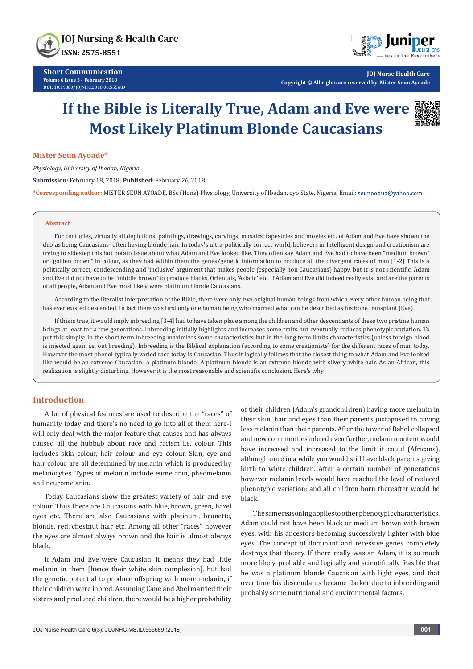



**JOJ Nurse Health Care Copyright © All rights are reserved by Mister Seun Ayoade**

# **If the Bible is Literally True, Adam and Eve were Most Likely Platinum Blonde Caucasians**



### **Mister Seun Ayoade\***

*Physiology, University of Ibadan, Nigeria*

**Submission:** February 18, 2018; **Published:** February 26, 2018

**\*Corresponding author:** MISTER SEUN AYOADE, BSc (Hons) Physiology, University of Ibadan, oyo State, Nigeria, Email:

# **Abstract**

For centuries, virtually all depictions: paintings, drawings, carvings, mosaics, tapestries and movies etc. of Adam and Eve have shown the duo as being Caucasians- often having blonde hair. In today's ultra-politically correct world, believers in Intelligent design and creationism are trying to sidestep this hot potato issue about what Adam and Eve looked like. They often say Adam and Eve had to have been "medium brown" or "golden brown" in colour, as they had within them the genes/genetic information to produce all the divergent races of man [1-2] This is a politically correct, condescending and 'inclusive' argument that makes people (especially non Caucasians) happy, but it is not scientific. Adam and Eve did not have to be "middle brown" to produce blacks, Orientals, 'Asiatic' etc. If Adam and Eve did indeed really exist and are the parents of all people, Adam and Eve most likely were platinum blonde Caucasians.

According to the literalist interpretation of the Bible, there were only two original human beings from which every other human being that has ever existed descended. In fact there was first only one human being who married what can be described as his bone transplant (Eve).

If this is true, it would imply inbreeding [3-4] had to have taken place among the children and other descendants of these two pristine human beings at least for a few generations. Inbreeding initially highlights and increases some traits but eventually reduces phenotypic variation. To put this simply: in the short term inbreeding maximizes some characteristics but in the long term limits characteristics (unless foreign blood is injected again i.e. out breeding). Inbreeding is the Biblical explanation (according to some creationists) for the different races of man today. However the most phenol typically varied race today is Caucasian. Thus it logically follows that the closest thing to what Adam and Eve looked like would be an extreme Caucasian- a platinum blonde. A platinum blonde is an extreme blonde with silvery white hair. As an African, this realization is slightly disturbing. However it is the most reasonable and scientific conclusion. Here's why

# **Introduction**

A lot of physical features are used to describe the "races" of humanity today and there's no need to go into all of them here-I will only deal with the major feature that causes and has always caused all the hubbub about race and racism i.e. colour. This includes skin colour, hair colour and eye colour. Skin, eye and hair colour are all determined by melanin which is produced by melanocytes. Types of melanin include eumelanin, pheomelanin and neuromelanin.

Today Caucasians show the greatest variety of hair and eye colour. Thus there are Caucasians with blue, brown, green, hazel eyes etc. There are also Caucasians with platinum, brunette, blonde, red, chestnut hair etc. Among all other "races" however the eyes are almost always brown and the hair is almost always black.

If Adam and Eve were Caucasian, it means they had little melanin in them [hence their white skin complexion], but had the genetic potential to produce offspring with more melanin, if their children were inbred. Assuming Cane and Abel married their sisters and produced children, there would be a higher probability

of their children (Adam's grandchildren) having more melanin in their skin, hair and eyes than their parents juxtaposed to having less melanin than their parents. After the tower of Babel collapsed and new communities inbred even further, melanin content would have increased and increased to the limit it could (Africans), although once in a while you would still have black parents giving birth to white children. After a certain number of generations however melanin levels would have reached the level of reduced phenotypic variation; and all children born thereafter would be black.

The same reasoning applies to other phenotypic characteristics. Adam could not have been black or medium brown with brown eyes, with his ancestors becoming successively lighter with blue eyes. The concept of dominant and recessive genes completely destroys that theory. If there really was an Adam, it is so much more likely, probable and logically and scientifically feasible that he was a platinum blonde Caucasian with light eyes, and that over time his descendants became darker due to inbreeding and probably some nutritional and environmental factors.